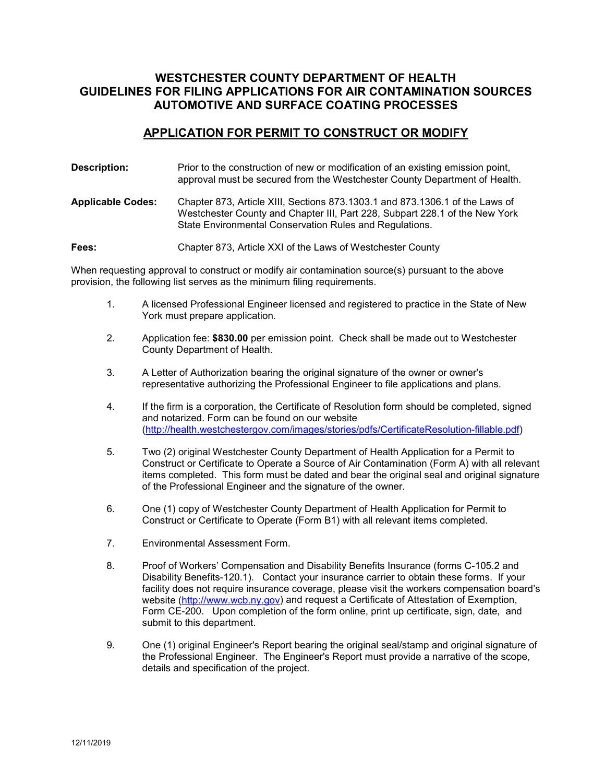# **WESTCHESTER COUNTY DEPARTMENT OF HEALTH GUIDELINES FOR FILING APPLICATIONS FOR AIR CONTAMINATION SOURCES AUTOMOTIVE AND SURFACE COATING PROCESSES**

#### **APPLICATION FOR PERMIT TO CONSTRUCT OR MODIFY**

| Description:             | Prior to the construction of new or modification of an existing emission point,<br>approval must be secured from the Westchester County Department of Health.                                                          |
|--------------------------|------------------------------------------------------------------------------------------------------------------------------------------------------------------------------------------------------------------------|
| <b>Applicable Codes:</b> | Chapter 873, Article XIII, Sections 873.1303.1 and 873.1306.1 of the Laws of<br>Westchester County and Chapter III, Part 228, Subpart 228.1 of the New York<br>State Environmental Conservation Rules and Regulations. |
| Fees:                    | Chapter 873, Article XXI of the Laws of Westchester County                                                                                                                                                             |

When requesting approval to construct or modify air contamination source(s) pursuant to the above provision, the following list serves as the minimum filing requirements.

- 1. A licensed Professional Engineer licensed and registered to practice in the State of New York must prepare application.
- 2. Application fee: **\$830.00** per emission point. Check shall be made out to Westchester County Department of Health.
- 3. A Letter of Authorization bearing the original signature of the owner or owner's representative authorizing the Professional Engineer to file applications and plans.
- 4. If the firm is a corporation, the Certificate of Resolution form should be completed, signed and notarized. Form can be found on our website [\(http://health.westchestergov.com/images/stories/pdfs/CertificateResolution-fillable.pdf\)](http://health.westchestergov.com/images/stories/pdfs/CertificateResolution-fillable.pdf)
- 5. Two (2) original Westchester County Department of Health Application for a Permit to Construct or Certificate to Operate a Source of Air Contamination (Form A) with all relevant items completed. This form must be dated and bear the original seal and original signature of the Professional Engineer and the signature of the owner.
- 6. One (1) copy of Westchester County Department of Health Application for Permit to Construct or Certificate to Operate (Form B1) with all relevant items completed.
- 7. Environmental Assessment Form.
- 8. Proof of Workers' Compensation and Disability Benefits Insurance (forms C-105.2 and Disability Benefits-120.1). Contact your insurance carrier to obtain these forms. If your facility does not require insurance coverage, please visit the workers compensation board's website [\(http://www.wcb.ny.gov\)](http://www.wcb.ny.gov/) and request a Certificate of Attestation of Exemption, Form CE-200. Upon completion of the form online, print up certificate, sign, date, and submit to this department.
- 9. One (1) original Engineer's Report bearing the original seal/stamp and original signature of the Professional Engineer. The Engineer's Report must provide a narrative of the scope, details and specification of the project.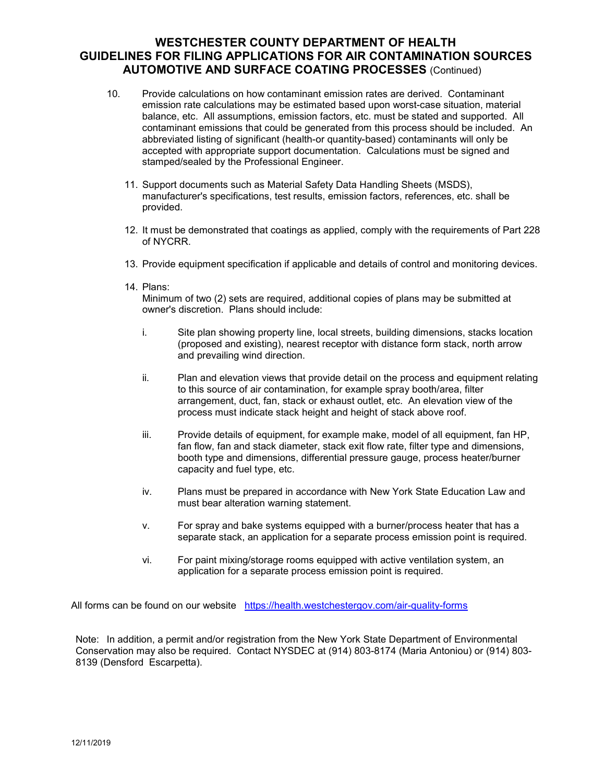## **WESTCHESTER COUNTY DEPARTMENT OF HEALTH GUIDELINES FOR FILING APPLICATIONS FOR AIR CONTAMINATION SOURCES AUTOMOTIVE AND SURFACE COATING PROCESSES** (Continued)

- 10. Provide calculations on how contaminant emission rates are derived. Contaminant emission rate calculations may be estimated based upon worst-case situation, material balance, etc. All assumptions, emission factors, etc. must be stated and supported. All contaminant emissions that could be generated from this process should be included. An abbreviated listing of significant (health-or quantity-based) contaminants will only be accepted with appropriate support documentation. Calculations must be signed and stamped/sealed by the Professional Engineer.
	- 11. Support documents such as Material Safety Data Handling Sheets (MSDS), manufacturer's specifications, test results, emission factors, references, etc. shall be provided.
	- 12. It must be demonstrated that coatings as applied, comply with the requirements of Part 228 of NYCRR.
	- 13. Provide equipment specification if applicable and details of control and monitoring devices.
	- 14. Plans:

Minimum of two (2) sets are required, additional copies of plans may be submitted at owner's discretion. Plans should include:

- i. Site plan showing property line, local streets, building dimensions, stacks location (proposed and existing), nearest receptor with distance form stack, north arrow and prevailing wind direction.
- ii. Plan and elevation views that provide detail on the process and equipment relating to this source of air contamination, for example spray booth/area, filter arrangement, duct, fan, stack or exhaust outlet, etc. An elevation view of the process must indicate stack height and height of stack above roof.
- iii. Provide details of equipment, for example make, model of all equipment, fan HP, fan flow, fan and stack diameter, stack exit flow rate, filter type and dimensions, booth type and dimensions, differential pressure gauge, process heater/burner capacity and fuel type, etc.
- iv. Plans must be prepared in accordance with New York State Education Law and must bear alteration warning statement.
- v. For spray and bake systems equipped with a burner/process heater that has a separate stack, an application for a separate process emission point is required.
- vi. For paint mixing/storage rooms equipped with active ventilation system, an application for a separate process emission point is required.

All forms can be found on our website <https://health.westchestergov.com/air-quality-forms>

Note: In addition, a permit and/or registration from the New York State Department of Environmental Conservation may also be required. Contact NYSDEC at (914) 803-8174 (Maria Antoniou) or (914) 803- 8139 (Densford Escarpetta).